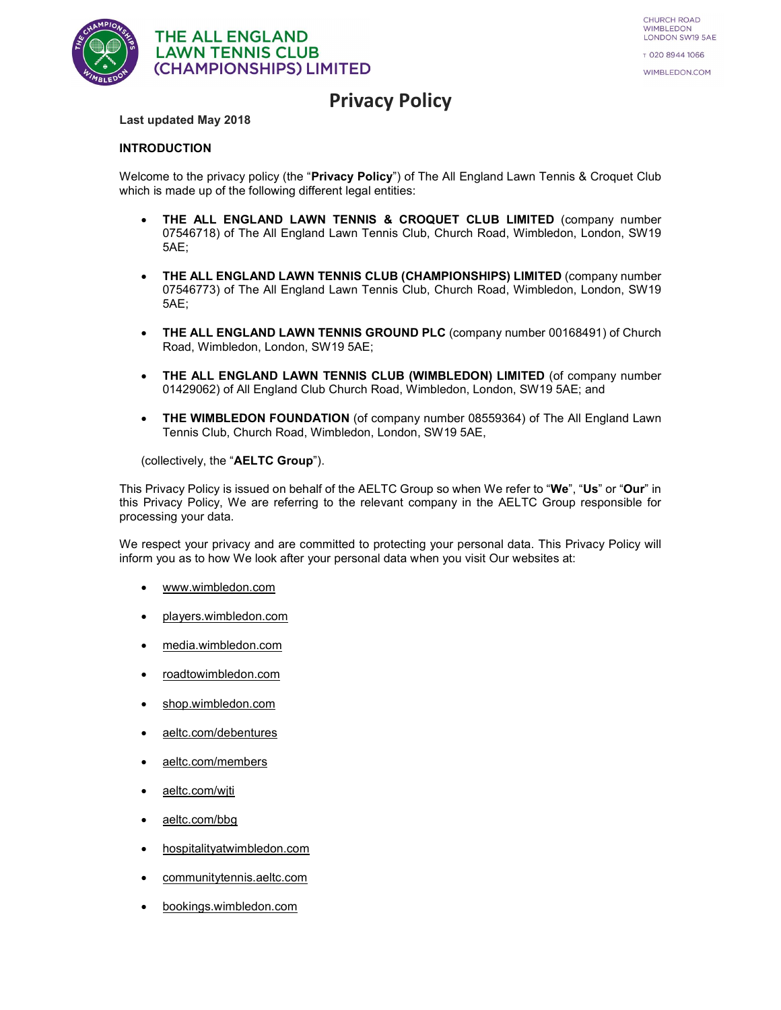

# Privacy Policy

#### Last updated May 2018

#### INTRODUCTION

Welcome to the privacy policy (the "Privacy Policy") of The All England Lawn Tennis & Croquet Club which is made up of the following different legal entities:

- THE ALL ENGLAND LAWN TENNIS & CROQUET CLUB LIMITED (company number 07546718) of The All England Lawn Tennis Club, Church Road, Wimbledon, London, SW19 5AE;
- THE ALL ENGLAND LAWN TENNIS CLUB (CHAMPIONSHIPS) LIMITED (company number 07546773) of The All England Lawn Tennis Club, Church Road, Wimbledon, London, SW19 5AE;
- THE ALL ENGLAND LAWN TENNIS GROUND PLC (company number 00168491) of Church Road, Wimbledon, London, SW19 5AE;
- THE ALL ENGLAND LAWN TENNIS CLUB (WIMBLEDON) LIMITED (of company number 01429062) of All England Club Church Road, Wimbledon, London, SW19 5AE; and
- THE WIMBLEDON FOUNDATION (of company number 08559364) of The All England Lawn Tennis Club, Church Road, Wimbledon, London, SW19 5AE,

(collectively, the "AELTC Group").

This Privacy Policy is issued on behalf of the AELTC Group so when We refer to "We", "Us" or "Our" in this Privacy Policy, We are referring to the relevant company in the AELTC Group responsible for processing your data.

We respect your privacy and are committed to protecting your personal data. This Privacy Policy will inform you as to how We look after your personal data when you visit Our websites at:

- www.wimbledon.com
- players.wimbledon.com
- media.wimbledon.com
- roadtowimbledon.com
- shop.wimbledon.com
- aeltc.com/debentures
- aeltc.com/members
- aeltc.com/wjti
- aeltc.com/bbg
- hospitalityatwimbledon.com
- communitytennis.aeltc.com
- bookings.wimbledon.com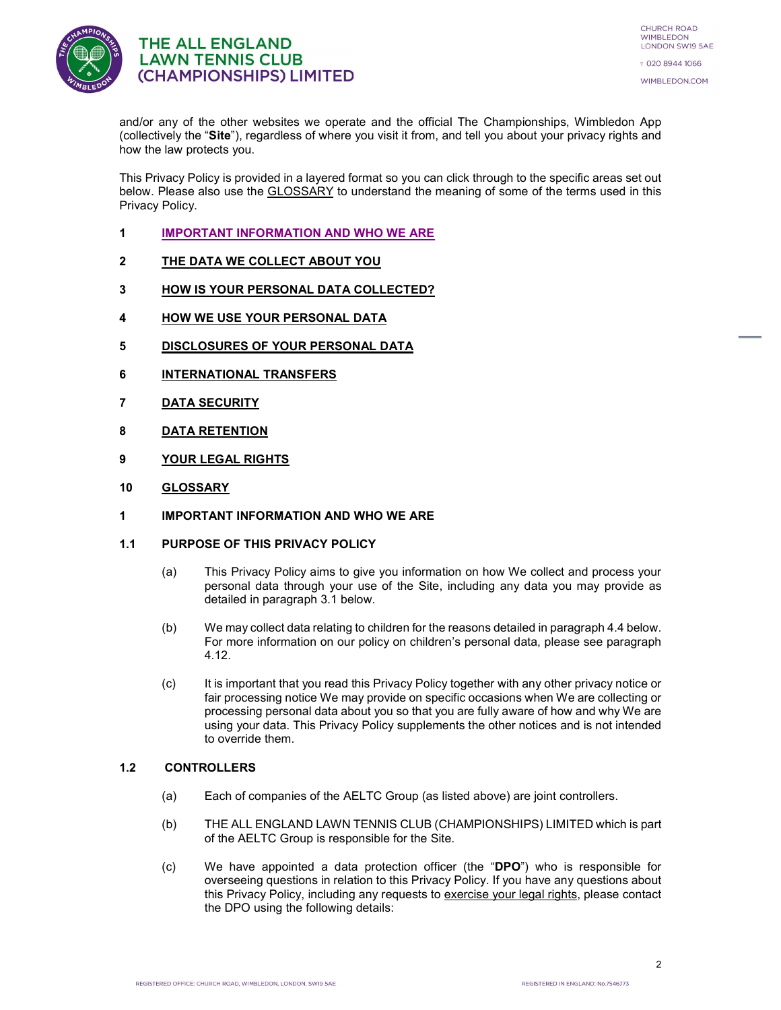

and/or any of the other websites we operate and the official The Championships, Wimbledon App (collectively the "Site"), regardless of where you visit it from, and tell you about your privacy rights and how the law protects you.

This Privacy Policy is provided in a layered format so you can click through to the specific areas set out below. Please also use the GLOSSARY to understand the meaning of some of the terms used in this Privacy Policy.

- 1 IMPORTANT INFORMATION AND WHO WE ARE
- 2 THE DATA WE COLLECT ABOUT YOU
- 3 HOW IS YOUR PERSONAL DATA COLLECTED?
- 4 HOW WE USE YOUR PERSONAL DATA
- 5 DISCLOSURES OF YOUR PERSONAL DATA
- 6 INTERNATIONAL TRANSFERS
- 7 DATA SECURITY
- 8 DATA RETENTION
- 9 YOUR LEGAL RIGHTS
- 10 GLOSSARY
- 1 IMPORTANT INFORMATION AND WHO WE ARE
- 1.1 PURPOSE OF THIS PRIVACY POLICY
	- (a) This Privacy Policy aims to give you information on how We collect and process your personal data through your use of the Site, including any data you may provide as detailed in paragraph 3.1 below.
	- (b) We may collect data relating to children for the reasons detailed in paragraph 4.4 below. For more information on our policy on children's personal data, please see paragraph 4.12.
	- (c) It is important that you read this Privacy Policy together with any other privacy notice or fair processing notice We may provide on specific occasions when We are collecting or processing personal data about you so that you are fully aware of how and why We are using your data. This Privacy Policy supplements the other notices and is not intended to override them.

#### 1.2 CONTROLLERS

- (a) Each of companies of the AELTC Group (as listed above) are joint controllers.
- (b) THE ALL ENGLAND LAWN TENNIS CLUB (CHAMPIONSHIPS) LIMITED which is part of the AELTC Group is responsible for the Site.
- (c) We have appointed a data protection officer (the "DPO") who is responsible for overseeing questions in relation to this Privacy Policy. If you have any questions about this Privacy Policy, including any requests to exercise your legal rights, please contact the DPO using the following details: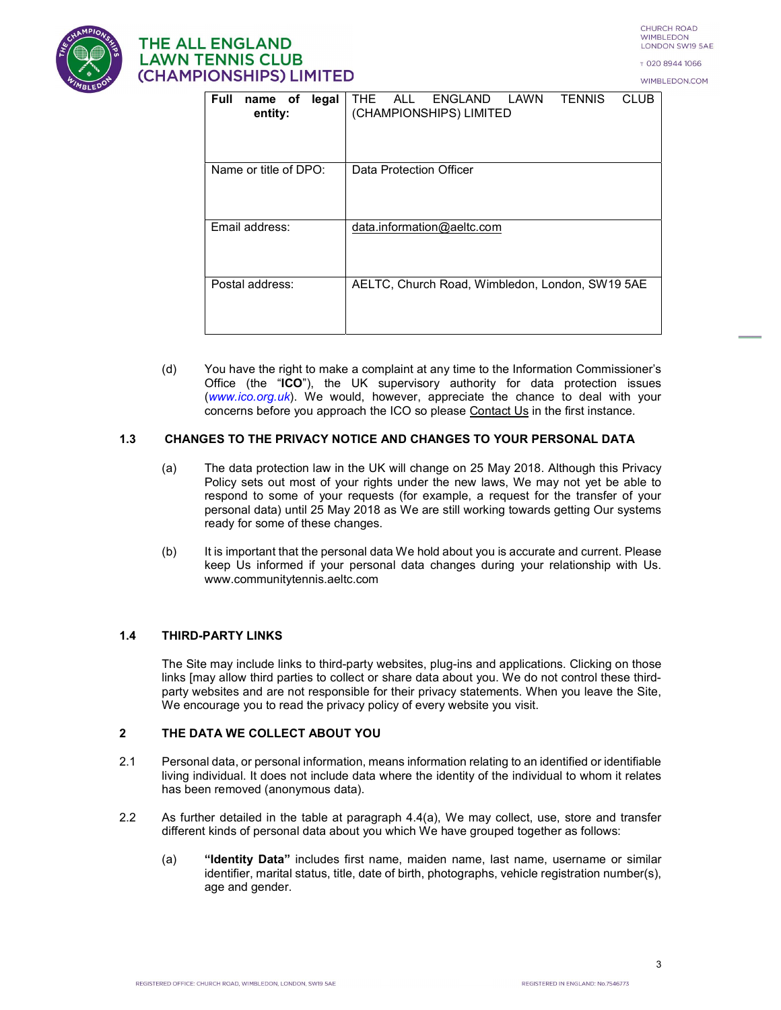CHURCH ROAD **WIMBLEDON** LONDON SW19 5AE

т 020 8944 1066 WIMBLEDON.COM



# **THE ALL ENGLAND LAWN TENNIS CLUB** (CHAMPIONSHIPS) LIMITED

| <b>Full</b><br>legal<br>name of<br>entity: | LAWN<br><b>TENNIS</b><br><b>CLUB</b><br><b>ALL</b><br>ENGLAND<br>THE<br>(CHAMPIONSHIPS) LIMITED |  |
|--------------------------------------------|-------------------------------------------------------------------------------------------------|--|
| Name or title of DPO:                      | Data Protection Officer                                                                         |  |
| Email address:                             | data.information@aeltc.com                                                                      |  |
| Postal address:                            | AELTC, Church Road, Wimbledon, London, SW19 5AE                                                 |  |

(d) You have the right to make a complaint at any time to the Information Commissioner's Office (the "ICO"), the UK supervisory authority for data protection issues (www.ico.org.uk). We would, however, appreciate the chance to deal with your concerns before you approach the ICO so please Contact Us in the first instance.

#### 1.3 CHANGES TO THE PRIVACY NOTICE AND CHANGES TO YOUR PERSONAL DATA

- (a) The data protection law in the UK will change on 25 May 2018. Although this Privacy Policy sets out most of your rights under the new laws, We may not yet be able to respond to some of your requests (for example, a request for the transfer of your personal data) until 25 May 2018 as We are still working towards getting Our systems ready for some of these changes.
- (b) It is important that the personal data We hold about you is accurate and current. Please keep Us informed if your personal data changes during your relationship with Us. www.communitytennis.aeltc.com

#### 1.4 THIRD-PARTY LINKS

The Site may include links to third-party websites, plug-ins and applications. Clicking on those links [may allow third parties to collect or share data about you. We do not control these thirdparty websites and are not responsible for their privacy statements. When you leave the Site, We encourage you to read the privacy policy of every website you visit.

#### 2 THE DATA WE COLLECT ABOUT YOU

- 2.1 Personal data, or personal information, means information relating to an identified or identifiable living individual. It does not include data where the identity of the individual to whom it relates has been removed (anonymous data).
- 2.2 As further detailed in the table at paragraph 4.4(a), We may collect, use, store and transfer different kinds of personal data about you which We have grouped together as follows:
	- (a) "Identity Data" includes first name, maiden name, last name, username or similar identifier, marital status, title, date of birth, photographs, vehicle registration number(s), age and gender.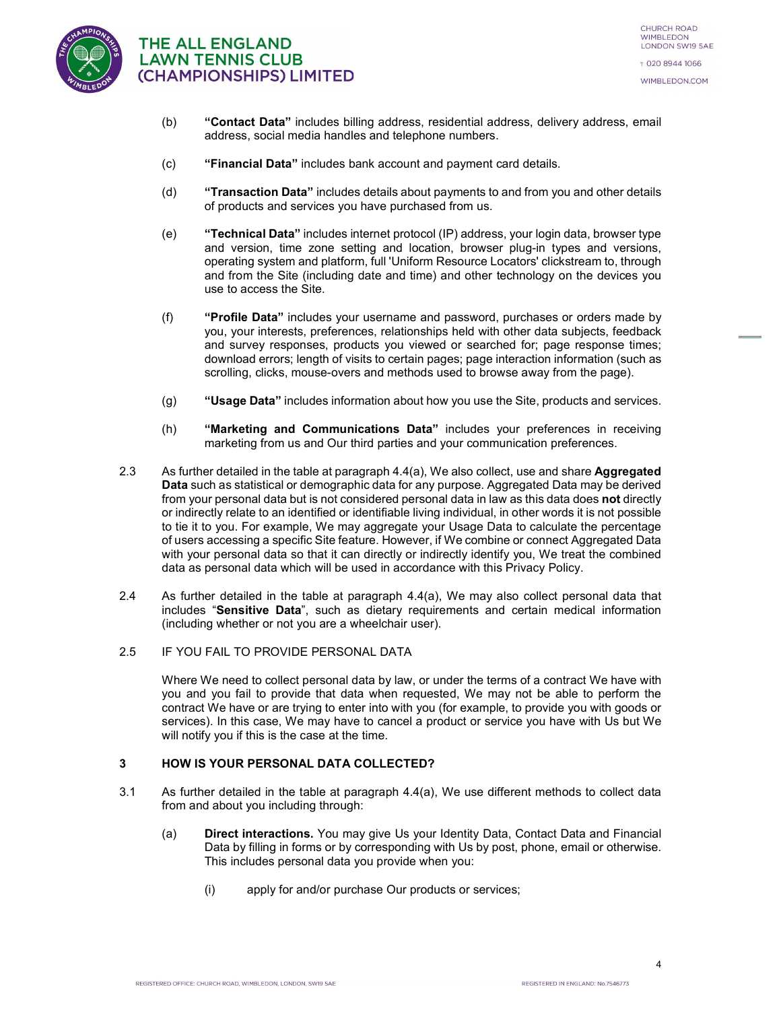

- (b) "Contact Data" includes billing address, residential address, delivery address, email address, social media handles and telephone numbers.
- (c) "Financial Data" includes bank account and payment card details.
- (d) "Transaction Data" includes details about payments to and from you and other details of products and services you have purchased from us.
- (e) "Technical Data" includes internet protocol (IP) address, your login data, browser type and version, time zone setting and location, browser plug-in types and versions, operating system and platform, full 'Uniform Resource Locators' clickstream to, through and from the Site (including date and time) and other technology on the devices you use to access the Site.
- (f) "Profile Data" includes your username and password, purchases or orders made by you, your interests, preferences, relationships held with other data subjects, feedback and survey responses, products you viewed or searched for; page response times; download errors; length of visits to certain pages; page interaction information (such as scrolling, clicks, mouse-overs and methods used to browse away from the page).
- (g) "Usage Data" includes information about how you use the Site, products and services.
- (h) "Marketing and Communications Data" includes your preferences in receiving marketing from us and Our third parties and your communication preferences.
- 2.3 As further detailed in the table at paragraph 4.4(a), We also collect, use and share **Aggregated** Data such as statistical or demographic data for any purpose. Aggregated Data may be derived from your personal data but is not considered personal data in law as this data does not directly or indirectly relate to an identified or identifiable living individual, in other words it is not possible to tie it to you. For example, We may aggregate your Usage Data to calculate the percentage of users accessing a specific Site feature. However, if We combine or connect Aggregated Data with your personal data so that it can directly or indirectly identify you, We treat the combined data as personal data which will be used in accordance with this Privacy Policy.
- 2.4 As further detailed in the table at paragraph 4.4(a), We may also collect personal data that includes "Sensitive Data", such as dietary requirements and certain medical information (including whether or not you are a wheelchair user).

#### 2.5 IF YOU FAIL TO PROVIDE PERSONAL DATA

Where We need to collect personal data by law, or under the terms of a contract We have with you and you fail to provide that data when requested, We may not be able to perform the contract We have or are trying to enter into with you (for example, to provide you with goods or services). In this case, We may have to cancel a product or service you have with Us but We will notify you if this is the case at the time.

#### 3 HOW IS YOUR PERSONAL DATA COLLECTED?

- 3.1 As further detailed in the table at paragraph 4.4(a), We use different methods to collect data from and about you including through:
	- (a) Direct interactions. You may give Us your Identity Data, Contact Data and Financial Data by filling in forms or by corresponding with Us by post, phone, email or otherwise. This includes personal data you provide when you:
		- (i) apply for and/or purchase Our products or services;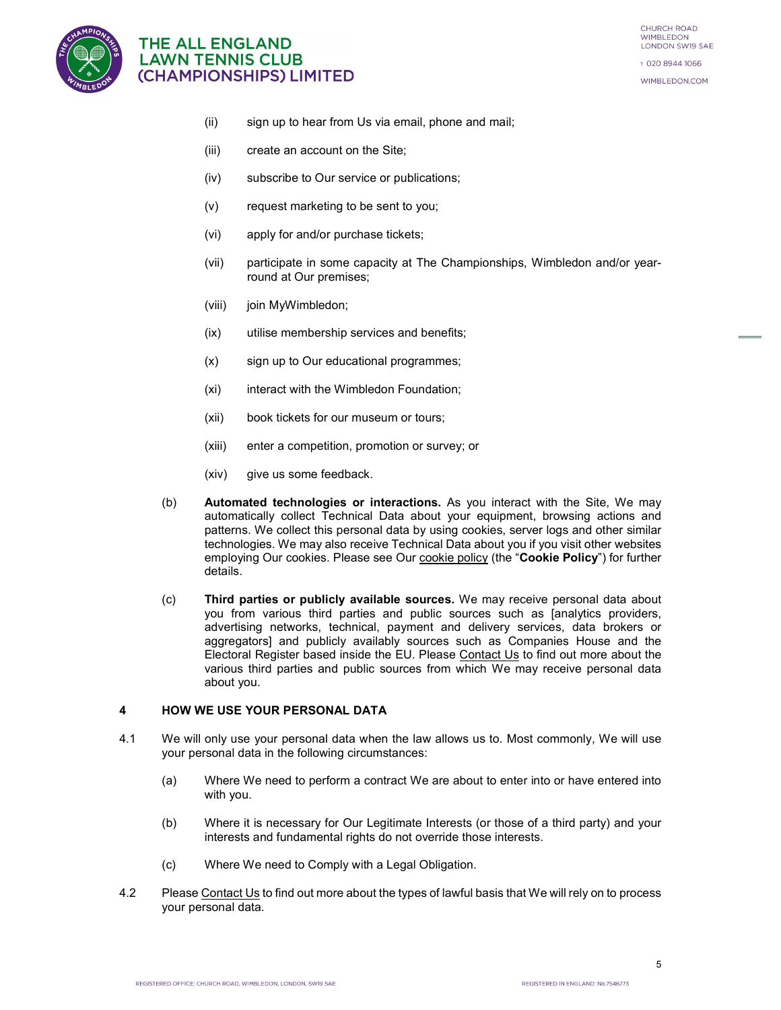

- (ii) sign up to hear from Us via email, phone and mail;
- (iii) create an account on the Site;
- (iv) subscribe to Our service or publications;
- (v) request marketing to be sent to you;
- (vi) apply for and/or purchase tickets;
- (vii) participate in some capacity at The Championships, Wimbledon and/or yearround at Our premises;
- (viii) join MyWimbledon;
- (ix) utilise membership services and benefits;
- (x) sign up to Our educational programmes;
- (xi) interact with the Wimbledon Foundation;
- (xii) book tickets for our museum or tours;
- (xiii) enter a competition, promotion or survey; or
- (xiv) give us some feedback.
- (b) Automated technologies or interactions. As you interact with the Site, We may automatically collect Technical Data about your equipment, browsing actions and patterns. We collect this personal data by using cookies, server logs and other similar technologies. We may also receive Technical Data about you if you visit other websites employing Our cookies. Please see Our cookie policy (the "Cookie Policy") for further details.
- (c) Third parties or publicly available sources. We may receive personal data about you from various third parties and public sources such as [analytics providers, advertising networks, technical, payment and delivery services, data brokers or aggregators] and publicly availably sources such as Companies House and the Electoral Register based inside the EU. Please Contact Us to find out more about the various third parties and public sources from which We may receive personal data about you.

#### 4 HOW WE USE YOUR PERSONAL DATA

- 4.1 We will only use your personal data when the law allows us to. Most commonly, We will use your personal data in the following circumstances:
	- (a) Where We need to perform a contract We are about to enter into or have entered into with you.
	- (b) Where it is necessary for Our Legitimate Interests (or those of a third party) and your interests and fundamental rights do not override those interests.
	- (c) Where We need to Comply with a Legal Obligation.
- 4.2 Please Contact Us to find out more about the types of lawful basis that We will rely on to process your personal data.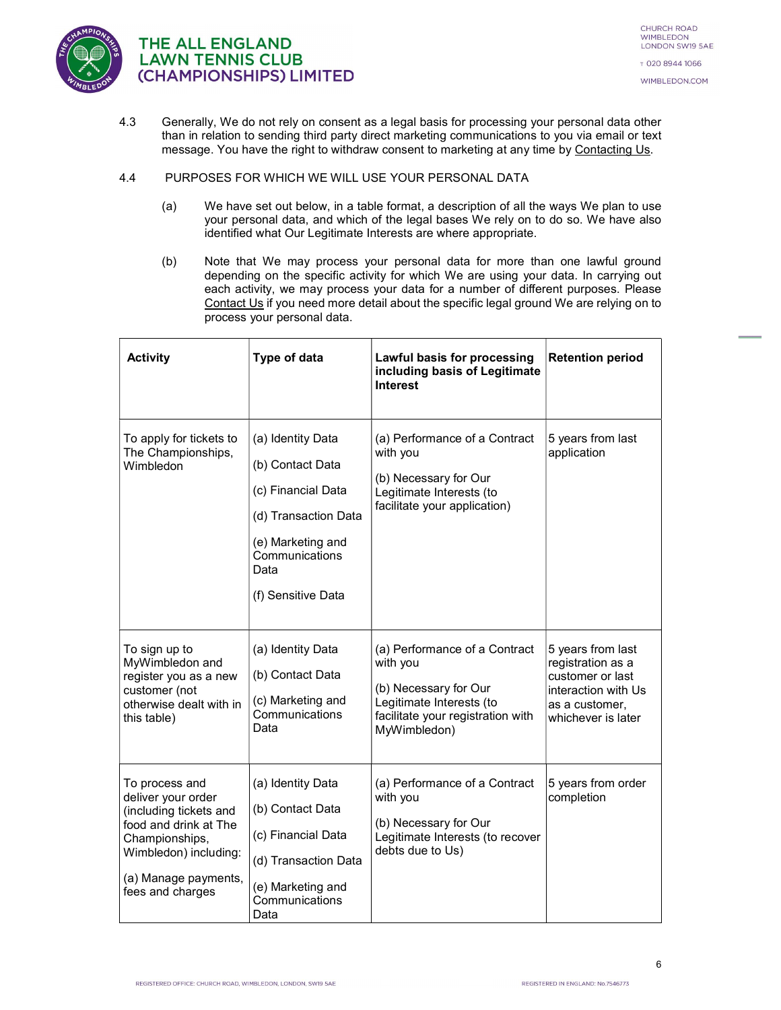

- 4.3 Generally, We do not rely on consent as a legal basis for processing your personal data other than in relation to sending third party direct marketing communications to you via email or text message. You have the right to withdraw consent to marketing at any time by Contacting Us.
- 4.4 PURPOSES FOR WHICH WE WILL USE YOUR PERSONAL DATA
	- (a) We have set out below, in a table format, a description of all the ways We plan to use your personal data, and which of the legal bases We rely on to do so. We have also identified what Our Legitimate Interests are where appropriate.
	- (b) Note that We may process your personal data for more than one lawful ground depending on the specific activity for which We are using your data. In carrying out each activity, we may process your data for a number of different purposes. Please Contact Us if you need more detail about the specific legal ground We are relying on to process your personal data.

| <b>Activity</b>                                                                                                                                                                | Type of data                                                                                                                                             | Lawful basis for processing<br>including basis of Legitimate<br><b>Interest</b>                                                                     | <b>Retention period</b>                                                                                                   |
|--------------------------------------------------------------------------------------------------------------------------------------------------------------------------------|----------------------------------------------------------------------------------------------------------------------------------------------------------|-----------------------------------------------------------------------------------------------------------------------------------------------------|---------------------------------------------------------------------------------------------------------------------------|
| To apply for tickets to<br>The Championships,<br>Wimbledon                                                                                                                     | (a) Identity Data<br>(b) Contact Data<br>(c) Financial Data<br>(d) Transaction Data<br>(e) Marketing and<br>Communications<br>Data<br>(f) Sensitive Data | (a) Performance of a Contract<br>with you<br>(b) Necessary for Our<br>Legitimate Interests (to<br>facilitate your application)                      | 5 years from last<br>application                                                                                          |
| To sign up to<br>MyWimbledon and<br>register you as a new<br>customer (not<br>otherwise dealt with in<br>this table)                                                           | (a) Identity Data<br>(b) Contact Data<br>(c) Marketing and<br>Communications<br>Data                                                                     | (a) Performance of a Contract<br>with you<br>(b) Necessary for Our<br>Legitimate Interests (to<br>facilitate your registration with<br>MyWimbledon) | 5 years from last<br>registration as a<br>customer or last<br>interaction with Us<br>as a customer,<br>whichever is later |
| To process and<br>deliver your order<br>(including tickets and<br>food and drink at The<br>Championships,<br>Wimbledon) including:<br>(a) Manage payments,<br>fees and charges | (a) Identity Data<br>(b) Contact Data<br>(c) Financial Data<br>(d) Transaction Data<br>(e) Marketing and<br>Communications<br>Data                       | (a) Performance of a Contract<br>with you<br>(b) Necessary for Our<br>Legitimate Interests (to recover<br>debts due to Us)                          | 5 years from order<br>completion                                                                                          |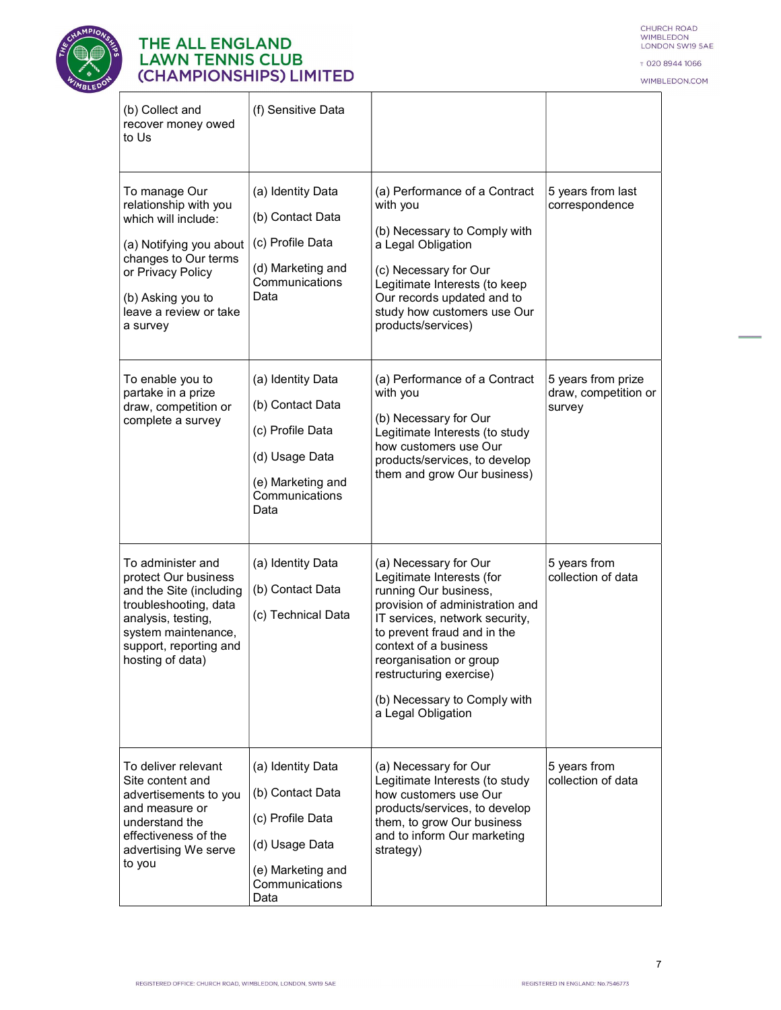

CHURCH ROAD<br>WIMBLEDON<br>LONDON SW19 5AE

T 020 8944 1066

WIMBLEDON.COM

 $\equiv$ 

| (b) Collect and<br>recover money owed<br>to Us                                                                                                                                                   | (f) Sensitive Data                                                                                                         |                                                                                                                                                                                                                                                                                                                      |                                                      |
|--------------------------------------------------------------------------------------------------------------------------------------------------------------------------------------------------|----------------------------------------------------------------------------------------------------------------------------|----------------------------------------------------------------------------------------------------------------------------------------------------------------------------------------------------------------------------------------------------------------------------------------------------------------------|------------------------------------------------------|
| To manage Our<br>relationship with you<br>which will include:<br>(a) Notifying you about<br>changes to Our terms<br>or Privacy Policy<br>(b) Asking you to<br>leave a review or take<br>a survey | (a) Identity Data<br>(b) Contact Data<br>(c) Profile Data<br>(d) Marketing and<br>Communications<br>Data                   | (a) Performance of a Contract<br>with you<br>(b) Necessary to Comply with<br>a Legal Obligation<br>(c) Necessary for Our<br>Legitimate Interests (to keep<br>Our records updated and to<br>study how customers use Our<br>products/services)                                                                         | 5 years from last<br>correspondence                  |
| To enable you to<br>partake in a prize<br>draw, competition or<br>complete a survey                                                                                                              | (a) Identity Data<br>(b) Contact Data<br>(c) Profile Data<br>(d) Usage Data<br>(e) Marketing and<br>Communications<br>Data | (a) Performance of a Contract<br>with you<br>(b) Necessary for Our<br>Legitimate Interests (to study<br>how customers use Our<br>products/services, to develop<br>them and grow Our business)                                                                                                                        | 5 years from prize<br>draw, competition or<br>survey |
| To administer and<br>protect Our business<br>and the Site (including<br>troubleshooting, data<br>analysis, testing,<br>system maintenance,<br>support, reporting and<br>hosting of data)         | (a) Identity Data<br>(b) Contact Data<br>(c) Technical Data                                                                | (a) Necessary for Our<br>Legitimate Interests (for<br>running Our business,<br>provision of administration and<br>IT services, network security,<br>to prevent fraud and in the<br>context of a business<br>reorganisation or group<br>restructuring exercise)<br>(b) Necessary to Comply with<br>a Legal Obligation | 5 years from<br>collection of data                   |
| To deliver relevant<br>Site content and<br>advertisements to you<br>and measure or<br>understand the<br>effectiveness of the<br>advertising We serve<br>to you                                   | (a) Identity Data<br>(b) Contact Data<br>(c) Profile Data<br>(d) Usage Data<br>(e) Marketing and<br>Communications<br>Data | (a) Necessary for Our<br>Legitimate Interests (to study<br>how customers use Our<br>products/services, to develop<br>them, to grow Our business<br>and to inform Our marketing<br>strategy)                                                                                                                          | 5 years from<br>collection of data                   |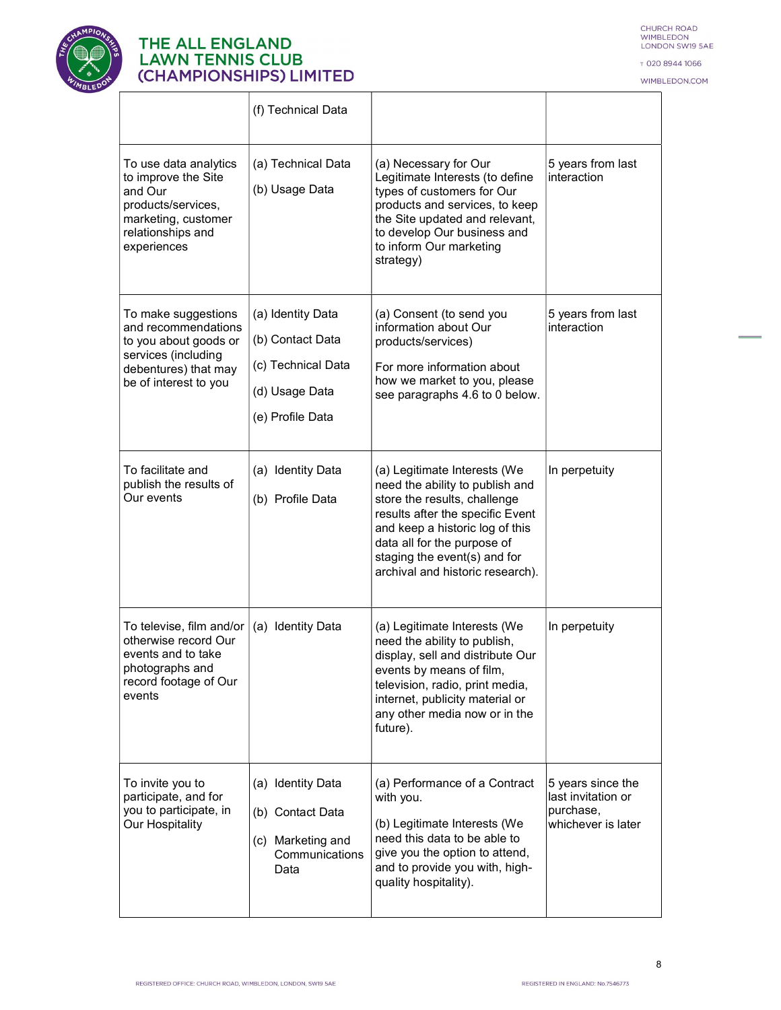

CHURCH ROAD<br>WIMBLEDON<br>LONDON SW19 5AE

T 020 8944 1066

WIMBLEDON.COM

|                                                                                                                                             | (f) Technical Data                                                                                |                                                                                                                                                                                                                                                                           |                                                                            |
|---------------------------------------------------------------------------------------------------------------------------------------------|---------------------------------------------------------------------------------------------------|---------------------------------------------------------------------------------------------------------------------------------------------------------------------------------------------------------------------------------------------------------------------------|----------------------------------------------------------------------------|
| To use data analytics<br>to improve the Site<br>and Our<br>products/services,<br>marketing, customer<br>relationships and<br>experiences    | (a) Technical Data<br>(b) Usage Data                                                              | (a) Necessary for Our<br>Legitimate Interests (to define<br>types of customers for Our<br>products and services, to keep<br>the Site updated and relevant,<br>to develop Our business and<br>to inform Our marketing<br>strategy)                                         | 5 years from last<br>interaction                                           |
| To make suggestions<br>and recommendations<br>to you about goods or<br>services (including<br>debentures) that may<br>be of interest to you | (a) Identity Data<br>(b) Contact Data<br>(c) Technical Data<br>(d) Usage Data<br>(e) Profile Data | (a) Consent (to send you<br>information about Our<br>products/services)<br>For more information about<br>how we market to you, please<br>see paragraphs 4.6 to 0 below.                                                                                                   | 5 years from last<br>interaction                                           |
| To facilitate and<br>publish the results of<br>Our events                                                                                   | (a) Identity Data<br>(b) Profile Data                                                             | (a) Legitimate Interests (We<br>need the ability to publish and<br>store the results, challenge<br>results after the specific Event<br>and keep a historic log of this<br>data all for the purpose of<br>staging the event(s) and for<br>archival and historic research). | In perpetuity                                                              |
| To televise, film and/or<br>otherwise record Our<br>events and to take<br>photographs and<br>record footage of Our<br>events                | (a) Identity Data                                                                                 | (a) Legitimate Interests (We<br>need the ability to publish,<br>display, sell and distribute Our<br>events by means of film,<br>television, radio, print media,<br>internet, publicity material or<br>any other media now or in the<br>future).                           | In perpetuity                                                              |
| To invite you to<br>participate, and for<br>you to participate, in<br>Our Hospitality                                                       | (a) Identity Data<br>(b) Contact Data<br>(c) Marketing and<br>Communications<br>Data              | (a) Performance of a Contract<br>with you.<br>(b) Legitimate Interests (We<br>need this data to be able to<br>give you the option to attend,<br>and to provide you with, high-<br>quality hospitality).                                                                   | 5 years since the<br>last invitation or<br>purchase,<br>whichever is later |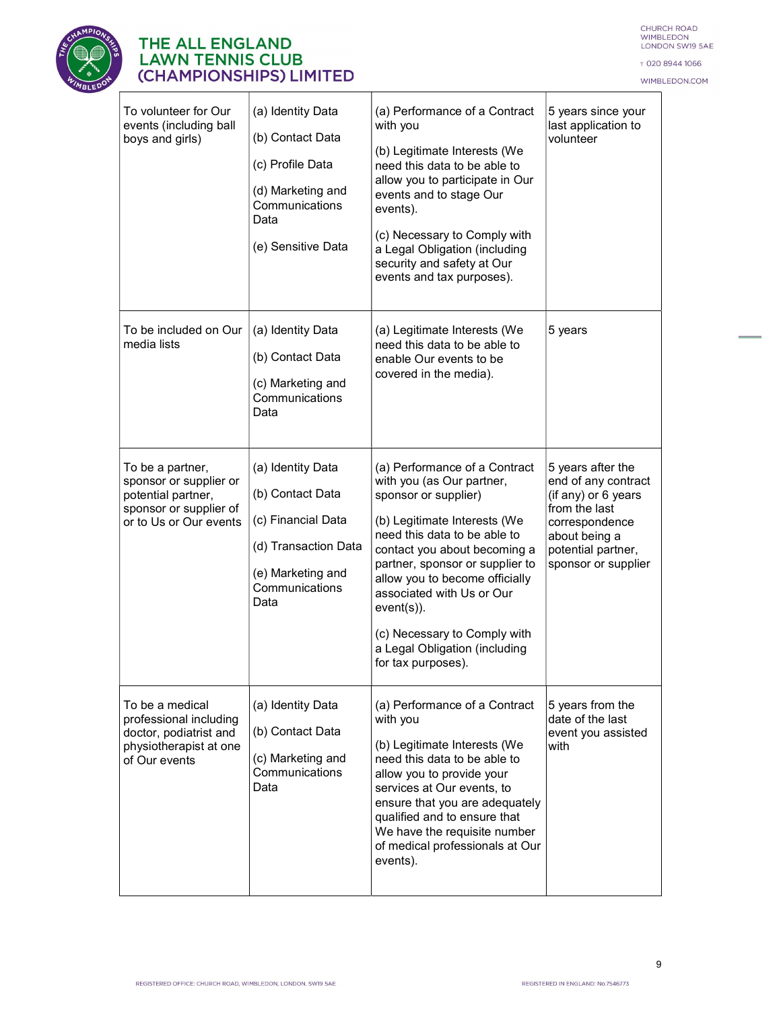

T 020 8944 1066

WIMBLEDON.COM



# THE ALL ENGLAND<br>LAWN TENNIS CLUB<br>(CHAMPIONSHIPS) LIMITED

| To volunteer for Our<br>events (including ball<br>boys and girls)                                                    | (a) Identity Data<br>(b) Contact Data<br>(c) Profile Data<br>(d) Marketing and<br>Communications<br>Data<br>(e) Sensitive Data     | (a) Performance of a Contract<br>with you<br>(b) Legitimate Interests (We<br>need this data to be able to<br>allow you to participate in Our<br>events and to stage Our<br>events).<br>(c) Necessary to Comply with<br>a Legal Obligation (including<br>security and safety at Our<br>events and tax purposes).                                                                              | 5 years since your<br>last application to<br>volunteer                                                                                                           |
|----------------------------------------------------------------------------------------------------------------------|------------------------------------------------------------------------------------------------------------------------------------|----------------------------------------------------------------------------------------------------------------------------------------------------------------------------------------------------------------------------------------------------------------------------------------------------------------------------------------------------------------------------------------------|------------------------------------------------------------------------------------------------------------------------------------------------------------------|
| To be included on Our<br>media lists                                                                                 | (a) Identity Data<br>(b) Contact Data<br>(c) Marketing and<br>Communications<br>Data                                               | (a) Legitimate Interests (We<br>need this data to be able to<br>enable Our events to be<br>covered in the media).                                                                                                                                                                                                                                                                            | 5 years                                                                                                                                                          |
| To be a partner,<br>sponsor or supplier or<br>potential partner,<br>sponsor or supplier of<br>or to Us or Our events | (a) Identity Data<br>(b) Contact Data<br>(c) Financial Data<br>(d) Transaction Data<br>(e) Marketing and<br>Communications<br>Data | (a) Performance of a Contract<br>with you (as Our partner,<br>sponsor or supplier)<br>(b) Legitimate Interests (We<br>need this data to be able to<br>contact you about becoming a<br>partner, sponsor or supplier to<br>allow you to become officially<br>associated with Us or Our<br>$event(s))$ .<br>(c) Necessary to Comply with<br>a Legal Obligation (including<br>for tax purposes). | 5 years after the<br>end of any contract<br>(if any) or 6 years<br>from the last<br>correspondence<br>about being a<br>potential partner,<br>sponsor or supplier |
| To be a medical<br>professional including<br>doctor, podiatrist and<br>physiotherapist at one<br>of Our events       | (a) Identity Data<br>(b) Contact Data<br>(c) Marketing and<br>Communications<br>Data                                               | (a) Performance of a Contract<br>with you<br>(b) Legitimate Interests (We<br>need this data to be able to<br>allow you to provide your<br>services at Our events, to<br>ensure that you are adequately<br>qualified and to ensure that<br>We have the requisite number<br>of medical professionals at Our<br>events).                                                                        | 5 years from the<br>date of the last<br>event you assisted<br>with                                                                                               |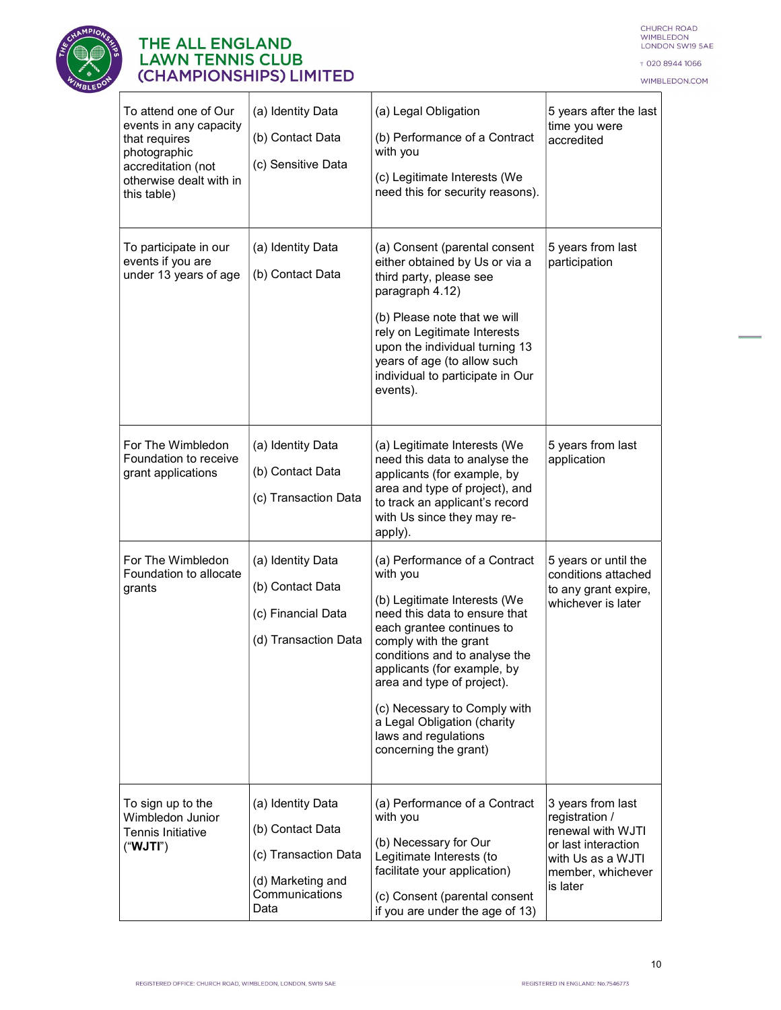

T 020 8944 1066

WIMBLEDON.COM

 $\equiv$ 

| To attend one of Our<br>events in any capacity<br>that requires<br>photographic<br>accreditation (not<br>otherwise dealt with in<br>this table) | (a) Identity Data<br>(b) Contact Data<br>(c) Sensitive Data                                                  | (a) Legal Obligation<br>(b) Performance of a Contract<br>with you<br>(c) Legitimate Interests (We<br>need this for security reasons).                                                                                                                                                                                                                                          | 5 years after the last<br>time you were<br>accredited                                                                                 |
|-------------------------------------------------------------------------------------------------------------------------------------------------|--------------------------------------------------------------------------------------------------------------|--------------------------------------------------------------------------------------------------------------------------------------------------------------------------------------------------------------------------------------------------------------------------------------------------------------------------------------------------------------------------------|---------------------------------------------------------------------------------------------------------------------------------------|
| To participate in our<br>events if you are<br>under 13 years of age                                                                             | (a) Identity Data<br>(b) Contact Data                                                                        | (a) Consent (parental consent<br>either obtained by Us or via a<br>third party, please see<br>paragraph 4.12)<br>(b) Please note that we will<br>rely on Legitimate Interests<br>upon the individual turning 13<br>years of age (to allow such<br>individual to participate in Our<br>events).                                                                                 | 5 years from last<br>participation                                                                                                    |
| For The Wimbledon<br>Foundation to receive<br>grant applications                                                                                | (a) Identity Data<br>(b) Contact Data<br>(c) Transaction Data                                                | (a) Legitimate Interests (We<br>need this data to analyse the<br>applicants (for example, by<br>area and type of project), and<br>to track an applicant's record<br>with Us since they may re-<br>apply).                                                                                                                                                                      | 5 years from last<br>application                                                                                                      |
| For The Wimbledon<br>Foundation to allocate<br>grants                                                                                           | (a) Identity Data<br>(b) Contact Data<br>(c) Financial Data<br>(d) Transaction Data                          | (a) Performance of a Contract<br>with you<br>(b) Legitimate Interests (We<br>need this data to ensure that<br>each grantee continues to<br>comply with the grant<br>conditions and to analyse the<br>applicants (for example, by<br>area and type of project).<br>(c) Necessary to Comply with<br>a Legal Obligation (charity<br>laws and regulations<br>concerning the grant) | 5 years or until the<br>conditions attached<br>to any grant expire,<br>whichever is later                                             |
| To sign up to the<br>Wimbledon Junior<br>Tennis Initiative<br>("TUV")                                                                           | (a) Identity Data<br>(b) Contact Data<br>(c) Transaction Data<br>(d) Marketing and<br>Communications<br>Data | (a) Performance of a Contract<br>with you<br>(b) Necessary for Our<br>Legitimate Interests (to<br>facilitate your application)<br>(c) Consent (parental consent<br>if you are under the age of 13)                                                                                                                                                                             | 3 years from last<br>registration /<br>renewal with WJTI<br>or last interaction<br>with Us as a WJTI<br>member, whichever<br>is later |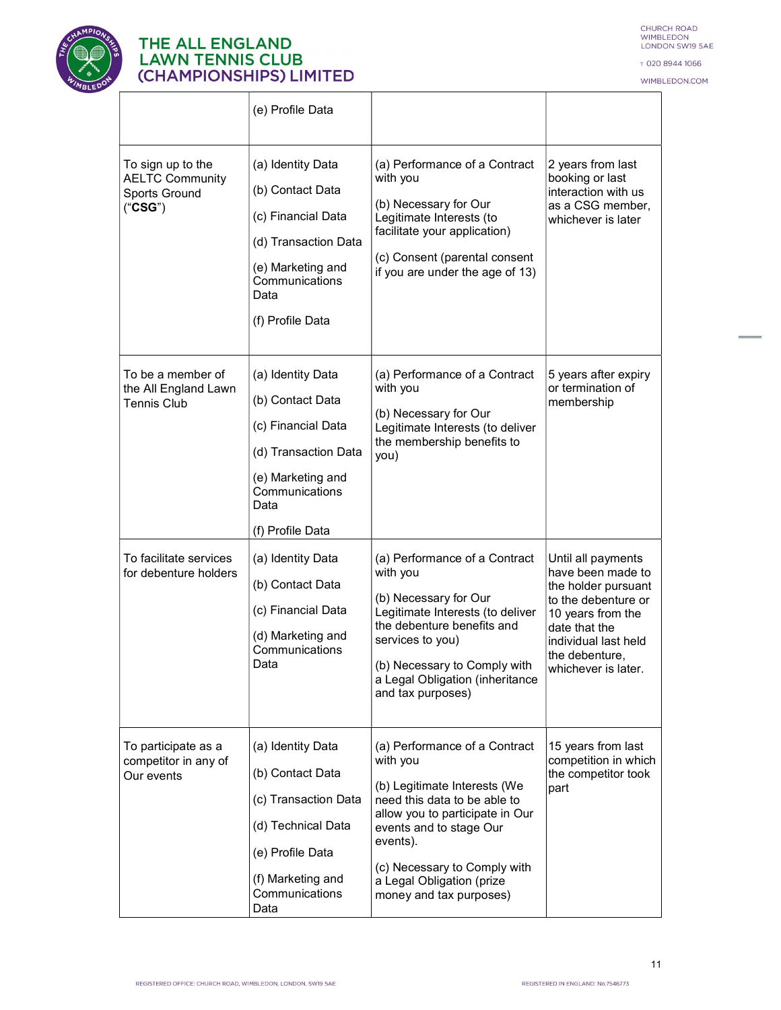

CHURCH ROAD<br>WIMBLEDON<br>LONDON SW19 5AE

T 020 8944 1066

WIMBLEDON.COM

|                                                                         | (e) Profile Data                                                                                                                                       |                                                                                                                                                                                                                                                                             |                                                                                                                                                                                              |
|-------------------------------------------------------------------------|--------------------------------------------------------------------------------------------------------------------------------------------------------|-----------------------------------------------------------------------------------------------------------------------------------------------------------------------------------------------------------------------------------------------------------------------------|----------------------------------------------------------------------------------------------------------------------------------------------------------------------------------------------|
| To sign up to the<br><b>AELTC Community</b><br>Sports Ground<br>("CSG") | (a) Identity Data<br>(b) Contact Data<br>(c) Financial Data<br>(d) Transaction Data<br>(e) Marketing and<br>Communications<br>Data<br>(f) Profile Data | (a) Performance of a Contract<br>with you<br>(b) Necessary for Our<br>Legitimate Interests (to<br>facilitate your application)<br>(c) Consent (parental consent<br>if you are under the age of 13)                                                                          | 2 years from last<br>booking or last<br>interaction with us<br>as a CSG member,<br>whichever is later                                                                                        |
| To be a member of<br>the All England Lawn<br><b>Tennis Club</b>         | (a) Identity Data<br>(b) Contact Data<br>(c) Financial Data<br>(d) Transaction Data<br>(e) Marketing and<br>Communications<br>Data<br>(f) Profile Data | (a) Performance of a Contract<br>with you<br>(b) Necessary for Our<br>Legitimate Interests (to deliver<br>the membership benefits to<br>you)                                                                                                                                | 5 years after expiry<br>or termination of<br>membership                                                                                                                                      |
| To facilitate services<br>for debenture holders                         | (a) Identity Data<br>(b) Contact Data<br>(c) Financial Data<br>(d) Marketing and<br>Communications<br>Data                                             | (a) Performance of a Contract<br>with you<br>(b) Necessary for Our<br>Legitimate Interests (to deliver<br>the debenture benefits and<br>services to you)<br>(b) Necessary to Comply with<br>a Legal Obligation (inheritance<br>and tax purposes)                            | Until all payments<br>have been made to<br>the holder pursuant<br>to the debenture or<br>10 years from the<br>date that the<br>individual last held<br>the debenture,<br>whichever is later. |
| To participate as a<br>competitor in any of<br>Our events               | (a) Identity Data<br>(b) Contact Data<br>(c) Transaction Data<br>(d) Technical Data<br>(e) Profile Data<br>(f) Marketing and<br>Communications<br>Data | (a) Performance of a Contract<br>with you<br>(b) Legitimate Interests (We<br>need this data to be able to<br>allow you to participate in Our<br>events and to stage Our<br>events).<br>(c) Necessary to Comply with<br>a Legal Obligation (prize<br>money and tax purposes) | 15 years from last<br>competition in which<br>the competitor took<br>part                                                                                                                    |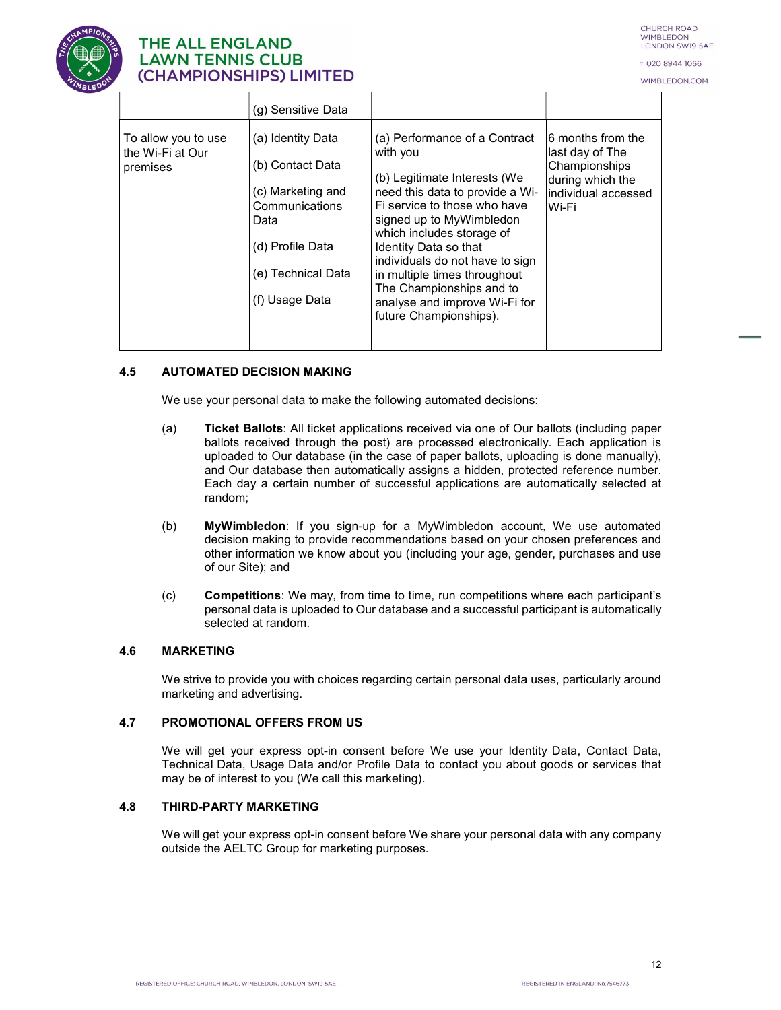

т 020 8944 1066 WIMBLEDON.COM



# **THE ALL ENGLAND LAWN TENNIS CLUB** (CHAMPIONSHIPS) LIMITED

|                                                     | (g) Sensitive Data                                                                                                                               |                                                                                                                                                                                                                                                                                                                                                                                          |                                                                                                                   |  |
|-----------------------------------------------------|--------------------------------------------------------------------------------------------------------------------------------------------------|------------------------------------------------------------------------------------------------------------------------------------------------------------------------------------------------------------------------------------------------------------------------------------------------------------------------------------------------------------------------------------------|-------------------------------------------------------------------------------------------------------------------|--|
| To allow you to use<br>the Wi-Fi at Our<br>premises | (a) Identity Data<br>(b) Contact Data<br>(c) Marketing and<br>Communications<br>Data<br>(d) Profile Data<br>(e) Technical Data<br>(f) Usage Data | (a) Performance of a Contract<br>with you<br>(b) Legitimate Interests (We<br>need this data to provide a Wi-<br>Fi service to those who have<br>signed up to MyWimbledon<br>which includes storage of<br>Identity Data so that<br>individuals do not have to sign<br>in multiple times throughout<br>The Championships and to<br>analyse and improve Wi-Fi for<br>future Championships). | $\vert$ 6 months from the<br>last day of The<br>Championships<br>during which the<br>individual accessed<br>Wi-Fi |  |

#### 4.5 AUTOMATED DECISION MAKING

We use your personal data to make the following automated decisions:

- (a) Ticket Ballots: All ticket applications received via one of Our ballots (including paper ballots received through the post) are processed electronically. Each application is uploaded to Our database (in the case of paper ballots, uploading is done manually), and Our database then automatically assigns a hidden, protected reference number. Each day a certain number of successful applications are automatically selected at random;
- (b) MyWimbledon: If you sign-up for a MyWimbledon account, We use automated decision making to provide recommendations based on your chosen preferences and other information we know about you (including your age, gender, purchases and use of our Site); and
- (c) Competitions: We may, from time to time, run competitions where each participant's personal data is uploaded to Our database and a successful participant is automatically selected at random.

#### 4.6 MARKETING

We strive to provide you with choices regarding certain personal data uses, particularly around marketing and advertising.

#### 4.7 PROMOTIONAL OFFERS FROM US

We will get your express opt-in consent before We use your Identity Data, Contact Data, Technical Data, Usage Data and/or Profile Data to contact you about goods or services that may be of interest to you (We call this marketing).

#### 4.8 THIRD-PARTY MARKETING

We will get your express opt-in consent before We share your personal data with any company outside the AELTC Group for marketing purposes.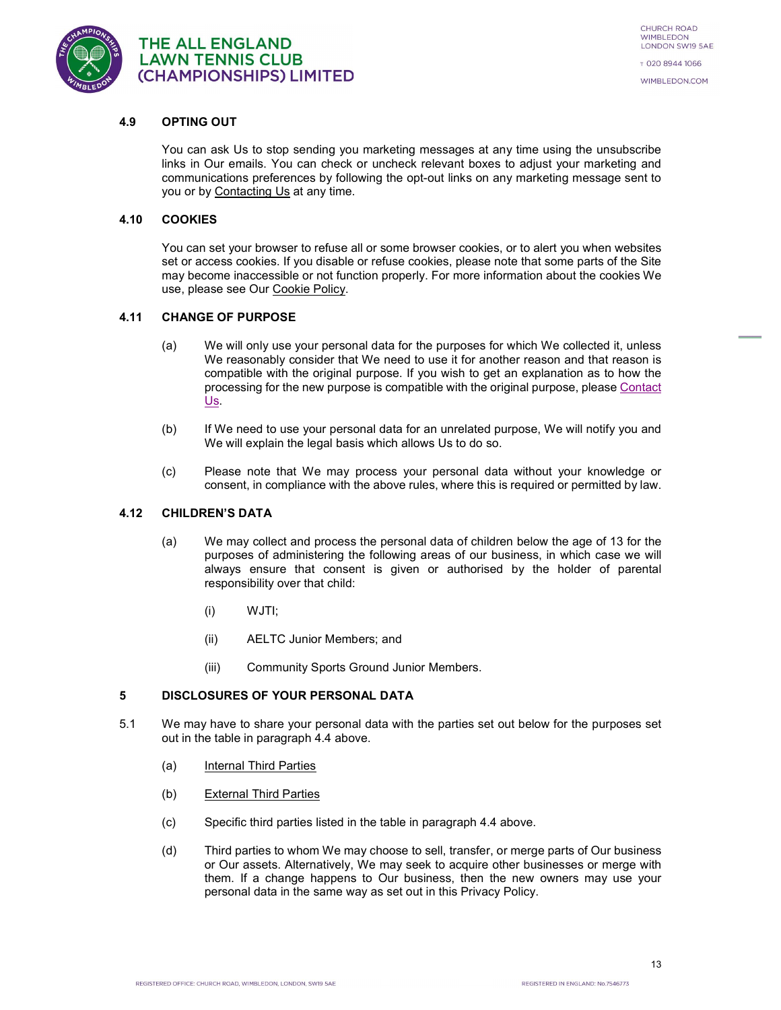

#### 4.9 OPTING OUT

You can ask Us to stop sending you marketing messages at any time using the unsubscribe links in Our emails. You can check or uncheck relevant boxes to adjust your marketing and communications preferences by following the opt-out links on any marketing message sent to you or by Contacting Us at any time.

#### 4.10 COOKIES

You can set your browser to refuse all or some browser cookies, or to alert you when websites set or access cookies. If you disable or refuse cookies, please note that some parts of the Site may become inaccessible or not function properly. For more information about the cookies We use, please see Our Cookie Policy.

#### 4.11 CHANGE OF PURPOSE

- (a) We will only use your personal data for the purposes for which We collected it, unless We reasonably consider that We need to use it for another reason and that reason is compatible with the original purpose. If you wish to get an explanation as to how the processing for the new purpose is compatible with the original purpose, please Contact  $Us$ .<br>(b) If We need to use your personal data for an unrelated purpose, We will notify you and</u>
- We will explain the legal basis which allows Us to do so.
- (c) Please note that We may process your personal data without your knowledge or consent, in compliance with the above rules, where this is required or permitted by law.

#### 4.12 CHILDREN'S DATA

- (a) We may collect and process the personal data of children below the age of 13 for the purposes of administering the following areas of our business, in which case we will always ensure that consent is given or authorised by the holder of parental responsibility over that child:
	- (i) WJTI;
	- (ii) AELTC Junior Members; and
	- (iii) Community Sports Ground Junior Members.

#### 5 DISCLOSURES OF YOUR PERSONAL DATA

- 5.1 We may have to share your personal data with the parties set out below for the purposes set out in the table in paragraph 4.4 above.
	- (a) Internal Third Parties
	- (b) External Third Parties
	- (c) Specific third parties listed in the table in paragraph 4.4 above.
	- (d) Third parties to whom We may choose to sell, transfer, or merge parts of Our business or Our assets. Alternatively, We may seek to acquire other businesses or merge with them. If a change happens to Our business, then the new owners may use your personal data in the same way as set out in this Privacy Policy.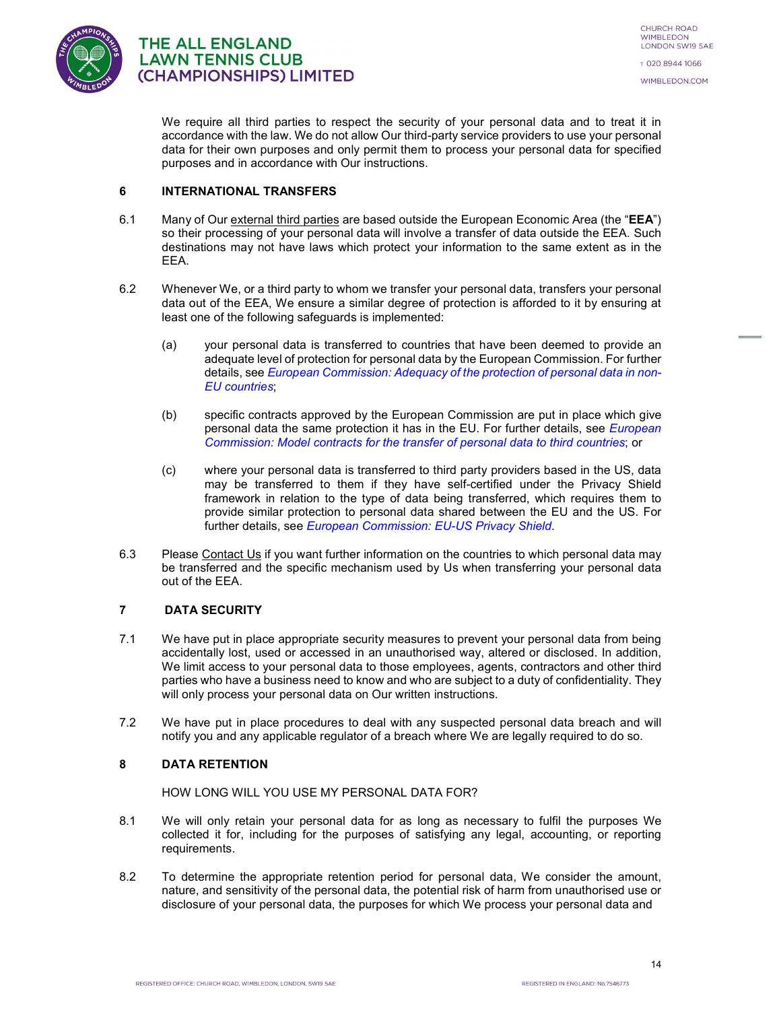

We require all third parties to respect the security of your personal data and to treat it in accordance with the law. We do not allow Our third-party service providers to use your personal data for their own purposes and only permit them to process your personal data for specified purposes and in accordance with Our instructions.

#### 6 INTERNATIONAL TRANSFERS

- 6.1 Many of Our external third parties are based outside the European Economic Area (the "EEA") so their processing of your personal data will involve a transfer of data outside the EEA. Such destinations may not have laws which protect your information to the same extent as in the EEA.
- 6.2 Whenever We, or a third party to whom we transfer your personal data, transfers your personal data out of the EEA, We ensure a similar degree of protection is afforded to it by ensuring at least one of the following safeguards is implemented:
	- (a) your personal data is transferred to countries that have been deemed to provide an adequate level of protection for personal data by the European Commission. For further details, see European Commission: Adequacy of the protection of personal data in non-EU countries;
	- (b) specific contracts approved by the European Commission are put in place which give personal data the same protection it has in the EU. For further details, see *European* Commission: Model contracts for the transfer of personal data to third countries; or
	- (c) where your personal data is transferred to third party providers based in the US, data may be transferred to them if they have self-certified under the Privacy Shield framework in relation to the type of data being transferred, which requires them to provide similar protection to personal data shared between the EU and the US. For further details, see *European Commission: EU-US Privacy Shield*.
- 6.3 Please Contact Us if you want further information on the countries to which personal data may be transferred and the specific mechanism used by Us when transferring your personal data out of the EEA.

#### 7 DATA SECURITY

- 7.1 We have put in place appropriate security measures to prevent your personal data from being accidentally lost, used or accessed in an unauthorised way, altered or disclosed. In addition, We limit access to your personal data to those employees, agents, contractors and other third parties who have a business need to know and who are subject to a duty of confidentiality. They will only process your personal data on Our written instructions.
- 7.2 We have put in place procedures to deal with any suspected personal data breach and will notify you and any applicable regulator of a breach where We are legally required to do so.

#### 8 DATA RETENTION

#### HOW LONG WILL YOU USE MY PERSONAL DATA FOR?

- 8.1 We will only retain your personal data for as long as necessary to fulfil the purposes We collected it for, including for the purposes of satisfying any legal, accounting, or reporting requirements.
- 8.2 To determine the appropriate retention period for personal data, We consider the amount, nature, and sensitivity of the personal data, the potential risk of harm from unauthorised use or disclosure of your personal data, the purposes for which We process your personal data and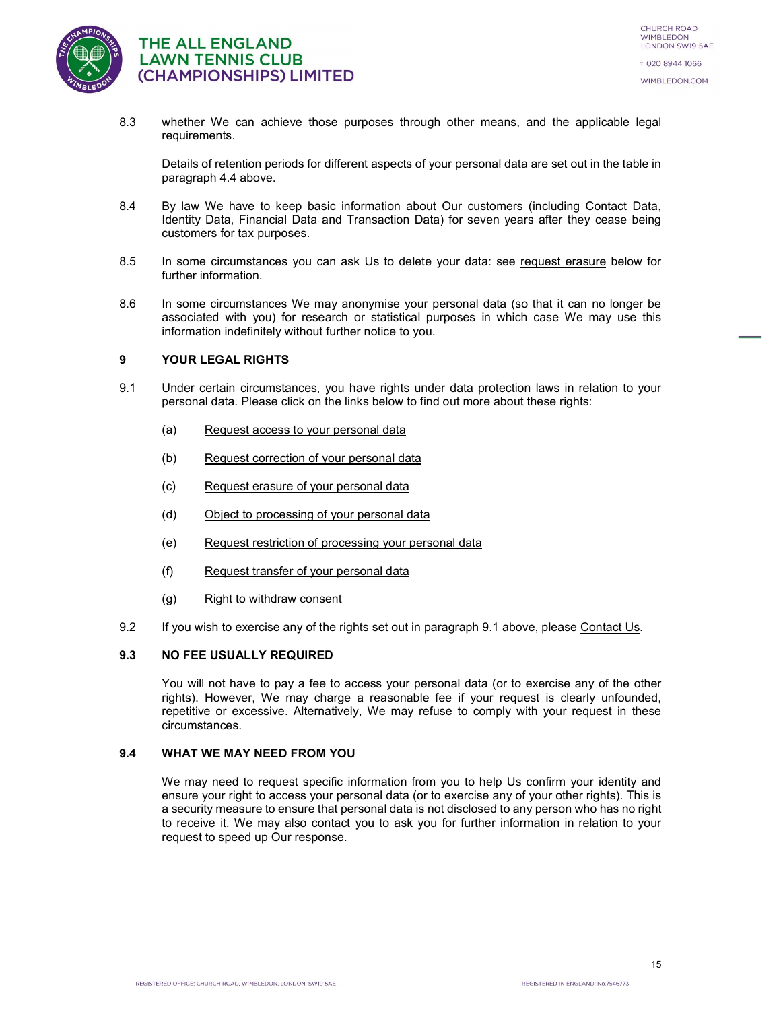

8.3 whether We can achieve those purposes through other means, and the applicable legal requirements.

Details of retention periods for different aspects of your personal data are set out in the table in paragraph 4.4 above.

- 8.4 By law We have to keep basic information about Our customers (including Contact Data, Identity Data, Financial Data and Transaction Data) for seven years after they cease being customers for tax purposes.
- 8.5 In some circumstances you can ask Us to delete your data: see request erasure below for further information.
- 8.6 In some circumstances We may anonymise your personal data (so that it can no longer be associated with you) for research or statistical purposes in which case We may use this information indefinitely without further notice to you.

#### 9 YOUR LEGAL RIGHTS

- 9.1 Under certain circumstances, you have rights under data protection laws in relation to your personal data. Please click on the links below to find out more about these rights:
	- (a) Request access to your personal data
	- (b) Request correction of your personal data
	- (c) Request erasure of your personal data
	- (d) Object to processing of your personal data
	- (e) Request restriction of processing your personal data
	- (f) Request transfer of your personal data
	- (g) Right to withdraw consent
- 9.2 If you wish to exercise any of the rights set out in paragraph 9.1 above, please Contact Us.

#### 9.3 NO FEE USUALLY REQUIRED

You will not have to pay a fee to access your personal data (or to exercise any of the other rights). However, We may charge a reasonable fee if your request is clearly unfounded, repetitive or excessive. Alternatively, We may refuse to comply with your request in these circumstances.

#### 9.4 WHAT WE MAY NEED FROM YOU

We may need to request specific information from you to help Us confirm your identity and ensure your right to access your personal data (or to exercise any of your other rights). This is a security measure to ensure that personal data is not disclosed to any person who has no right to receive it. We may also contact you to ask you for further information in relation to your request to speed up Our response.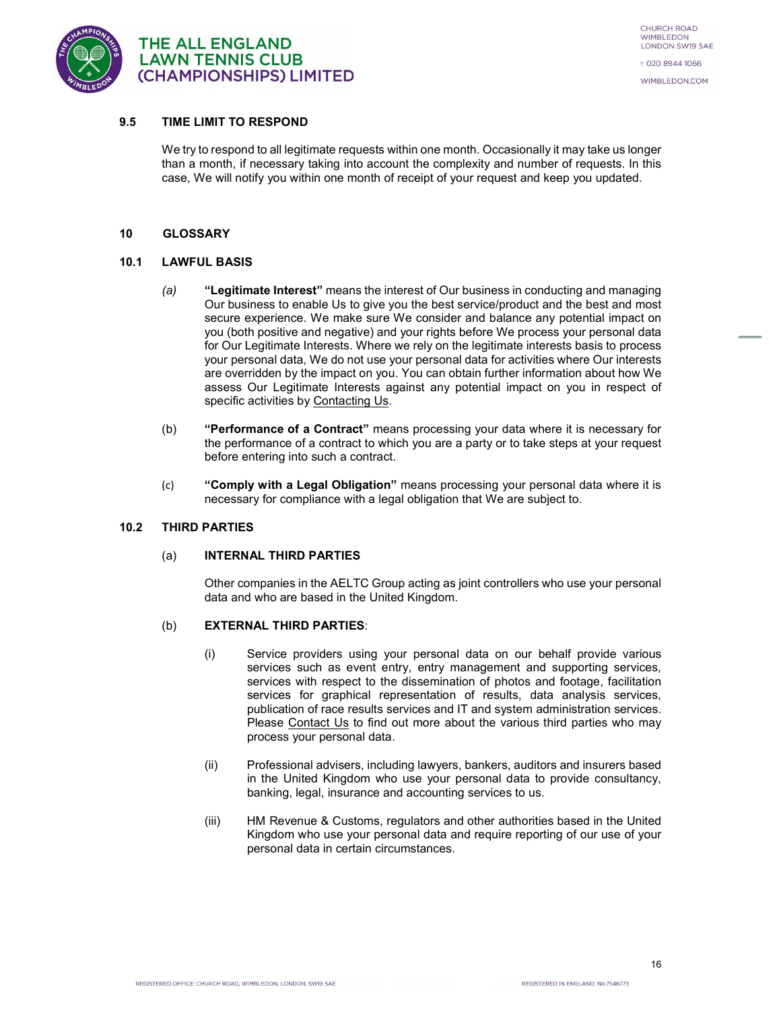

#### 9.5 TIME LIMIT TO RESPOND

We try to respond to all legitimate requests within one month. Occasionally it may take us longer than a month, if necessary taking into account the complexity and number of requests. In this case, We will notify you within one month of receipt of your request and keep you updated.

#### 10 GLOSSARY

#### 10.1 LAWFUL BASIS

- (a) "Legitimate Interest" means the interest of Our business in conducting and managing Our business to enable Us to give you the best service/product and the best and most secure experience. We make sure We consider and balance any potential impact on you (both positive and negative) and your rights before We process your personal data for Our Legitimate Interests. Where we rely on the legitimate interests basis to process your personal data, We do not use your personal data for activities where Our interests are overridden by the impact on you. You can obtain further information about how We assess Our Legitimate Interests against any potential impact on you in respect of specific activities by Contacting Us.
- (b) "Performance of a Contract" means processing your data where it is necessary for the performance of a contract to which you are a party or to take steps at your request before entering into such a contract.
- (c) "Comply with a Legal Obligation" means processing your personal data where it is necessary for compliance with a legal obligation that We are subject to.

#### 10.2 THIRD PARTIES

#### (a) INTERNAL THIRD PARTIES

Other companies in the AELTC Group acting as joint controllers who use your personal data and who are based in the United Kingdom.

#### (b) EXTERNAL THIRD PARTIES:

- (i) Service providers using your personal data on our behalf provide various services such as event entry, entry management and supporting services, services with respect to the dissemination of photos and footage, facilitation services for graphical representation of results, data analysis services, publication of race results services and IT and system administration services. Please Contact Us to find out more about the various third parties who may process your personal data.
- (ii) Professional advisers, including lawyers, bankers, auditors and insurers based in the United Kingdom who use your personal data to provide consultancy, banking, legal, insurance and accounting services to us.
- (iii) HM Revenue & Customs, regulators and other authorities based in the United Kingdom who use your personal data and require reporting of our use of your personal data in certain circumstances.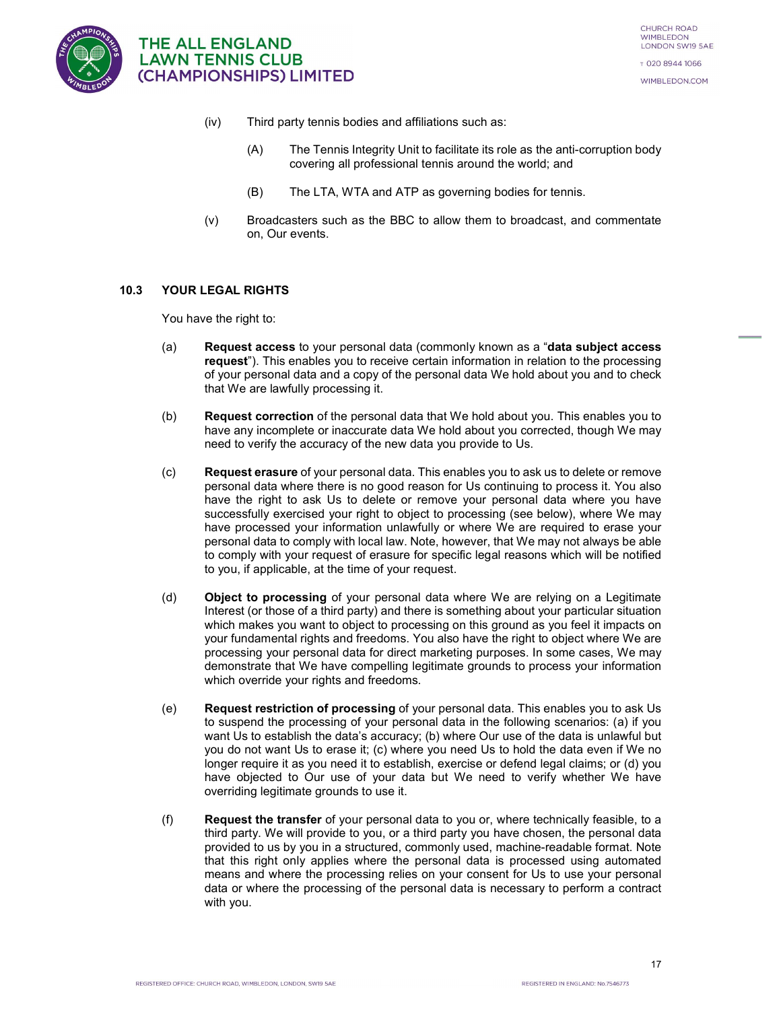

- (iv) Third party tennis bodies and affiliations such as:
	- (A) The Tennis Integrity Unit to facilitate its role as the anti-corruption body covering all professional tennis around the world; and
	- (B) The LTA, WTA and ATP as governing bodies for tennis.
- (v) Broadcasters such as the BBC to allow them to broadcast, and commentate on, Our events.

#### 10.3 YOUR LEGAL RIGHTS

You have the right to:

- (a) Request access to your personal data (commonly known as a "data subject access request"). This enables you to receive certain information in relation to the processing of your personal data and a copy of the personal data We hold about you and to check that We are lawfully processing it.
- (b) Request correction of the personal data that We hold about you. This enables you to have any incomplete or inaccurate data We hold about you corrected, though We may need to verify the accuracy of the new data you provide to Us.
- (c) Request erasure of your personal data. This enables you to ask us to delete or remove personal data where there is no good reason for Us continuing to process it. You also have the right to ask Us to delete or remove your personal data where you have successfully exercised your right to object to processing (see below), where We may have processed your information unlawfully or where We are required to erase your personal data to comply with local law. Note, however, that We may not always be able to comply with your request of erasure for specific legal reasons which will be notified to you, if applicable, at the time of your request.
- (d) Object to processing of your personal data where We are relying on a Legitimate Interest (or those of a third party) and there is something about your particular situation which makes you want to object to processing on this ground as you feel it impacts on your fundamental rights and freedoms. You also have the right to object where We are processing your personal data for direct marketing purposes. In some cases, We may demonstrate that We have compelling legitimate grounds to process your information which override your rights and freedoms.
- (e) Request restriction of processing of your personal data. This enables you to ask Us to suspend the processing of your personal data in the following scenarios: (a) if you want Us to establish the data's accuracy; (b) where Our use of the data is unlawful but you do not want Us to erase it; (c) where you need Us to hold the data even if We no longer require it as you need it to establish, exercise or defend legal claims; or (d) you have objected to Our use of your data but We need to verify whether We have overriding legitimate grounds to use it.
- (f) Request the transfer of your personal data to you or, where technically feasible, to a third party. We will provide to you, or a third party you have chosen, the personal data provided to us by you in a structured, commonly used, machine-readable format. Note that this right only applies where the personal data is processed using automated means and where the processing relies on your consent for Us to use your personal data or where the processing of the personal data is necessary to perform a contract with you.